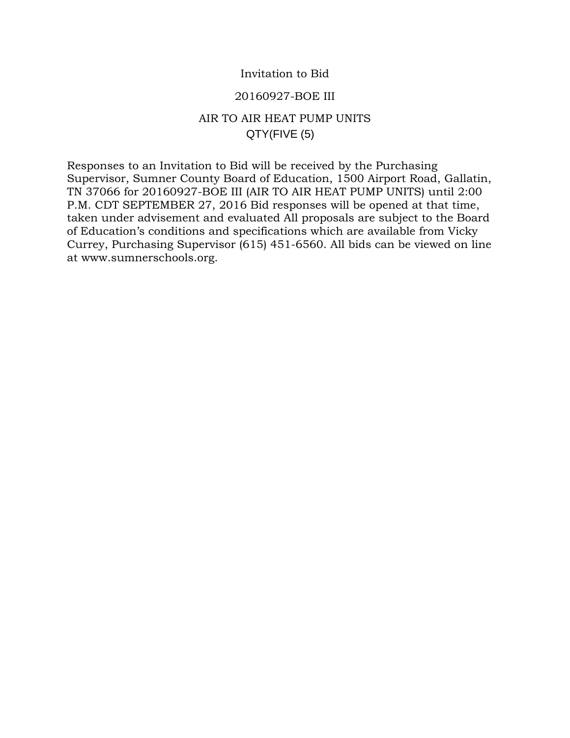## Invitation to Bid

### 20160927-BOE III

# AIR TO AIR HEAT PUMP UNITS QTY(FIVE (5)

Responses to an Invitation to Bid will be received by the Purchasing Supervisor, Sumner County Board of Education, 1500 Airport Road, Gallatin, TN 37066 for 20160927-BOE III (AIR TO AIR HEAT PUMP UNITS) until 2:00 P.M. CDT SEPTEMBER 27, 2016 Bid responses will be opened at that time, taken under advisement and evaluated All proposals are subject to the Board of Education's conditions and specifications which are available from Vicky Currey, Purchasing Supervisor (615) 451-6560. All bids can be viewed on line at www.sumnerschools.org.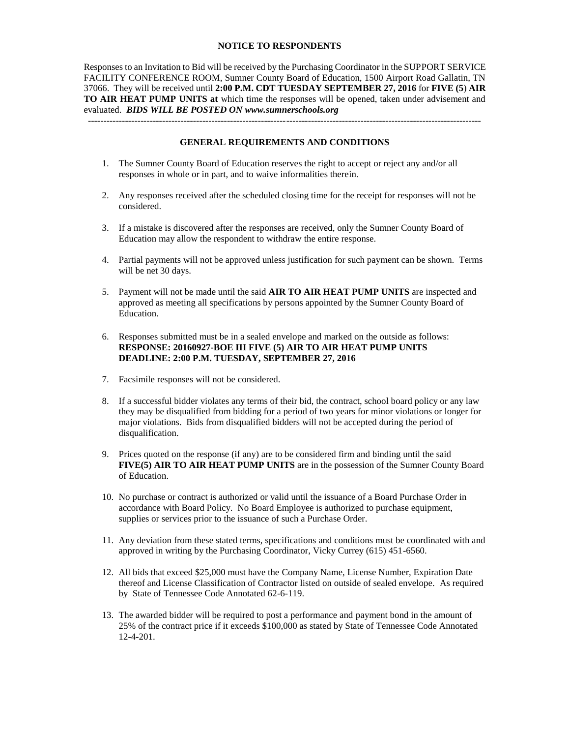#### **NOTICE TO RESPONDENTS**

Responses to an Invitation to Bid will be received by the Purchasing Coordinator in the SUPPORT SERVICE FACILITY CONFERENCE ROOM, Sumner County Board of Education, 1500 Airport Road Gallatin, TN 37066. They will be received until **2:00 P.M. CDT TUESDAY SEPTEMBER 27, 2016** for **FIVE (5**) **AIR TO AIR HEAT PUMP UNITS at** which time the responses will be opened, taken under advisement and evaluated. *BIDS WILL BE POSTED ON www.sumnerschools.org*

**GENERAL REQUIREMENTS AND CONDITIONS**

-------------------------------------------------------------------------------------------------------------------------------

- 1. The Sumner County Board of Education reserves the right to accept or reject any and/or all responses in whole or in part, and to waive informalities therein.
- 2. Any responses received after the scheduled closing time for the receipt for responses will not be considered.
- 3. If a mistake is discovered after the responses are received, only the Sumner County Board of Education may allow the respondent to withdraw the entire response.
- 4. Partial payments will not be approved unless justification for such payment can be shown. Terms will be net 30 days.
- 5. Payment will not be made until the said **AIR TO AIR HEAT PUMP UNITS** are inspected and approved as meeting all specifications by persons appointed by the Sumner County Board of Education.
- 6. Responses submitted must be in a sealed envelope and marked on the outside as follows: **RESPONSE: 20160927-BOE III FIVE (5) AIR TO AIR HEAT PUMP UNITS DEADLINE: 2:00 P.M. TUESDAY, SEPTEMBER 27, 2016**
- 7. Facsimile responses will not be considered.
- 8. If a successful bidder violates any terms of their bid, the contract, school board policy or any law they may be disqualified from bidding for a period of two years for minor violations or longer for major violations. Bids from disqualified bidders will not be accepted during the period of disqualification.
- 9. Prices quoted on the response (if any) are to be considered firm and binding until the said **FIVE(5) AIR TO AIR HEAT PUMP UNITS** are in the possession of the Sumner County Board of Education.
- 10. No purchase or contract is authorized or valid until the issuance of a Board Purchase Order in accordance with Board Policy. No Board Employee is authorized to purchase equipment, supplies or services prior to the issuance of such a Purchase Order.
- 11. Any deviation from these stated terms, specifications and conditions must be coordinated with and approved in writing by the Purchasing Coordinator, Vicky Currey (615) 451-6560.
- 12. All bids that exceed \$25,000 must have the Company Name, License Number, Expiration Date thereof and License Classification of Contractor listed on outside of sealed envelope. As required by State of Tennessee Code Annotated 62-6-119.
- 13. The awarded bidder will be required to post a performance and payment bond in the amount of 25% of the contract price if it exceeds \$100,000 as stated by State of Tennessee Code Annotated 12-4-201.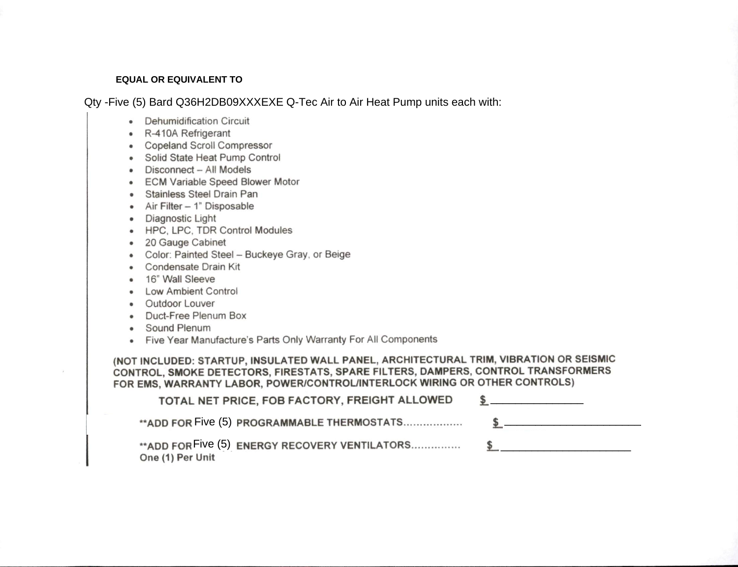#### **EQUAL OR EQUIVALENT TO**

Qty -Five (5) Bard Q36H2DB09XXXEXE Q-Tec Air to Air Heat Pump units each with:

- Dehumidification Circuit
- · R-410A Refrigerant
- Copeland Scroll Compressor
- · Solid State Heat Pump Control
- Disconnect All Models
- ECM Variable Speed Blower Motor
- · Stainless Steel Drain Pan
- Air Filter 1" Disposable
- · Diagnostic Light
- HPC, LPC, TDR Control Modules
- · 20 Gauge Cabinet
- Color: Painted Steel Buckeye Gray, or Beige
- Condensate Drain Kit
- 16" Wall Sleeve
- Low Ambient Control
- Outdoor Louver
- Duct-Free Plenum Box
- Sound Plenum
- Five Year Manufacture's Parts Only Warranty For All Components

(NOT INCLUDED: STARTUP, INSULATED WALL PANEL, ARCHITECTURAL TRIM, VIBRATION OR SEISMIC CONTROL, SMOKE DETECTORS, FIRESTATS, SPARE FILTERS, DAMPERS, CONTROL TRANSFORMERS FOR EMS, WARRANTY LABOR, POWER/CONTROL/INTERLOCK WIRING OR OTHER CONTROLS)

| TOTAL NET PRICE, FOB FACTORY, FREIGHT ALLOWED |  |
|-----------------------------------------------|--|
|                                               |  |
| One (1) Per Unit                              |  |